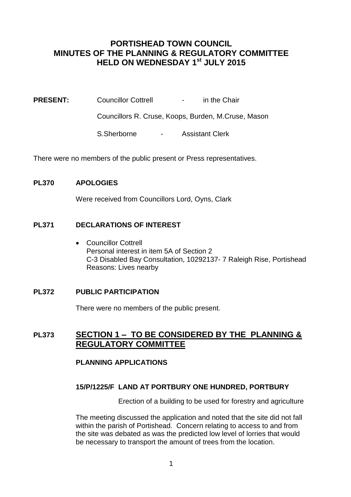# **PORTISHEAD TOWN COUNCIL MINUTES OF THE PLANNING & REGULATORY COMMITTEE HELD ON WEDNESDAY 1st JULY 2015**

**PRESENT:** Councillor Cottrell - in the Chair

Councillors R. Cruse, Koops, Burden, M.Cruse, Mason

S.Sherborne - Assistant Clerk

There were no members of the public present or Press representatives.

### **PL370 APOLOGIES**

Were received from Councillors Lord, Oyns, Clark

## **PL371 DECLARATIONS OF INTEREST**

• Councillor Cottrell Personal interest in item 5A of Section 2 C-3 Disabled Bay Consultation, 10292137- 7 Raleigh Rise, Portishead Reasons: Lives nearby

### **PL372 PUBLIC PARTICIPATION**

There were no members of the public present.

## **PL373 SECTION 1 – TO BE CONSIDERED BY THE PLANNING & REGULATORY COMMITTEE**

### **PLANNING APPLICATIONS**

### **15/P/1225/F LAND AT PORTBURY ONE HUNDRED, PORTBURY**

Erection of a building to be used for forestry and agriculture

The meeting discussed the application and noted that the site did not fall within the parish of Portishead. Concern relating to access to and from the site was debated as was the predicted low level of lorries that would be necessary to transport the amount of trees from the location.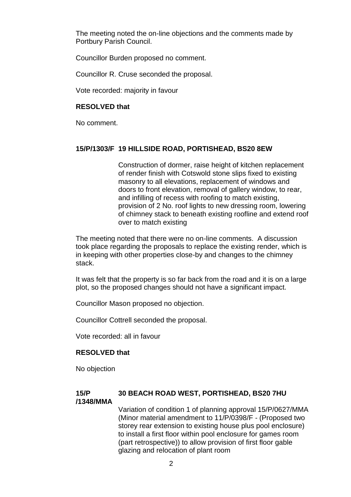The meeting noted the on-line objections and the comments made by Portbury Parish Council.

Councillor Burden proposed no comment.

Councillor R. Cruse seconded the proposal.

Vote recorded: majority in favour

#### **RESOLVED that**

No comment.

## **15/P/1303/F 19 HILLSIDE ROAD, PORTISHEAD, BS20 8EW**

Construction of dormer, raise height of kitchen replacement of render finish with Cotswold stone slips fixed to existing masonry to all elevations, replacement of windows and doors to front elevation, removal of gallery window, to rear, and infilling of recess with roofing to match existing, provision of 2 No. roof lights to new dressing room, lowering of chimney stack to beneath existing roofline and extend roof over to match existing

The meeting noted that there were no on-line comments. A discussion took place regarding the proposals to replace the existing render, which is in keeping with other properties close-by and changes to the chimney stack.

It was felt that the property is so far back from the road and it is on a large plot, so the proposed changes should not have a significant impact.

Councillor Mason proposed no objection.

Councillor Cottrell seconded the proposal.

Vote recorded: all in favour

### **RESOLVED that**

No objection

#### **15/P 30 BEACH ROAD WEST, PORTISHEAD, BS20 7HU /1348/MMA**

Variation of condition 1 of planning approval 15/P/0627/MMA (Minor material amendment to 11/P/0398/F - (Proposed two storey rear extension to existing house plus pool enclosure) to install a first floor within pool enclosure for games room (part retrospective)) to allow provision of first floor gable glazing and relocation of plant room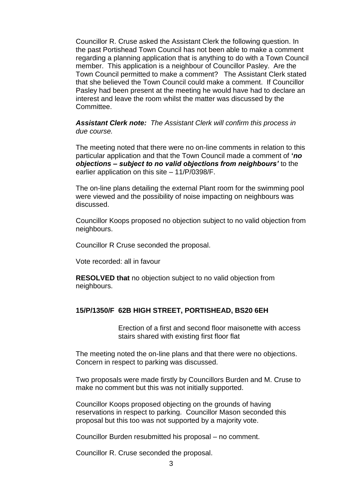Councillor R. Cruse asked the Assistant Clerk the following question. In the past Portishead Town Council has not been able to make a comment regarding a planning application that is anything to do with a Town Council member. This application is a neighbour of Councillor Pasley. Are the Town Council permitted to make a comment? The Assistant Clerk stated that she believed the Town Council could make a comment. If Councillor Pasley had been present at the meeting he would have had to declare an interest and leave the room whilst the matter was discussed by the Committee.

*Assistant Clerk note: The Assistant Clerk will confirm this process in due course.*

The meeting noted that there were no on-line comments in relation to this particular application and that the Town Council made a comment of **'***no objections – subject to no valid objections from neighbours'* to the earlier application on this site – 11/P/0398/F.

The on-line plans detailing the external Plant room for the swimming pool were viewed and the possibility of noise impacting on neighbours was discussed.

Councillor Koops proposed no objection subject to no valid objection from neighbours.

Councillor R Cruse seconded the proposal.

Vote recorded: all in favour

**RESOLVED that** no objection subject to no valid objection from neighbours.

#### **15/P/1350/F 62B HIGH STREET, PORTISHEAD, BS20 6EH**

Erection of a first and second floor maisonette with access stairs shared with existing first floor flat

The meeting noted the on-line plans and that there were no objections. Concern in respect to parking was discussed.

Two proposals were made firstly by Councillors Burden and M. Cruse to make no comment but this was not initially supported.

Councillor Koops proposed objecting on the grounds of having reservations in respect to parking. Councillor Mason seconded this proposal but this too was not supported by a majority vote.

Councillor Burden resubmitted his proposal – no comment.

Councillor R. Cruse seconded the proposal.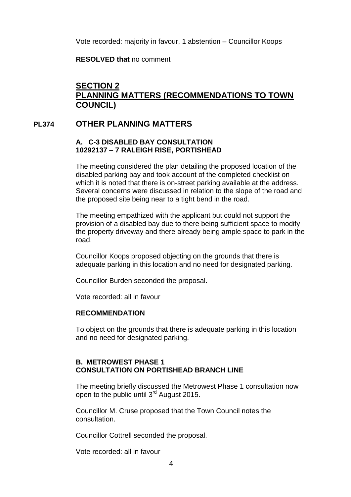Vote recorded: majority in favour, 1 abstention – Councillor Koops

**RESOLVED that** no comment

# **SECTION 2 PLANNING MATTERS (RECOMMENDATIONS TO TOWN COUNCIL)**

## **PL374 OTHER PLANNING MATTERS**

### **A. C-3 DISABLED BAY CONSULTATION 10292137 – 7 RALEIGH RISE, PORTISHEAD**

The meeting considered the plan detailing the proposed location of the disabled parking bay and took account of the completed checklist on which it is noted that there is on-street parking available at the address. Several concerns were discussed in relation to the slope of the road and the proposed site being near to a tight bend in the road.

The meeting empathized with the applicant but could not support the provision of a disabled bay due to there being sufficient space to modify the property driveway and there already being ample space to park in the road.

Councillor Koops proposed objecting on the grounds that there is adequate parking in this location and no need for designated parking.

Councillor Burden seconded the proposal.

Vote recorded: all in favour

### **RECOMMENDATION**

To object on the grounds that there is adequate parking in this location and no need for designated parking.

## **B. METROWEST PHASE 1 CONSULTATION ON PORTISHEAD BRANCH LINE**

The meeting briefly discussed the Metrowest Phase 1 consultation now open to the public until 3<sup>rd</sup> August 2015.

Councillor M. Cruse proposed that the Town Council notes the consultation.

Councillor Cottrell seconded the proposal.

Vote recorded: all in favour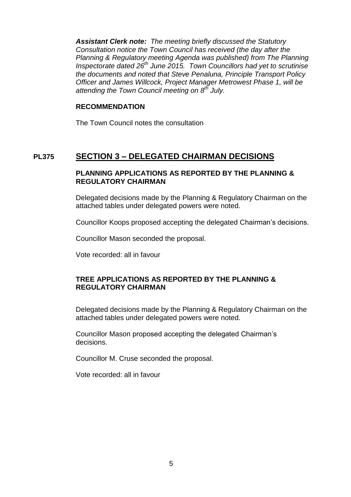*Assistant Clerk note: The meeting briefly discussed the Statutory Consultation notice the Town Council has received (the day after the Planning & Regulatory meeting Agenda was published) from The Planning Inspectorate dated 26th June 2015. Town Councillors had yet to scrutinise the documents and noted that Steve Penaluna, Principle Transport Policy Officer and James Willcock, Project Manager Metrowest Phase 1, will be attending the Town Council meeting on 8th July.*

#### **RECOMMENDATION**

The Town Council notes the consultation

# **PL375 SECTION 3 – DELEGATED CHAIRMAN DECISIONS**

## **PLANNING APPLICATIONS AS REPORTED BY THE PLANNING & REGULATORY CHAIRMAN**

Delegated decisions made by the Planning & Regulatory Chairman on the attached tables under delegated powers were noted.

Councillor Koops proposed accepting the delegated Chairman's decisions.

Councillor Mason seconded the proposal.

Vote recorded: all in favour

## **TREE APPLICATIONS AS REPORTED BY THE PLANNING & REGULATORY CHAIRMAN**

Delegated decisions made by the Planning & Regulatory Chairman on the attached tables under delegated powers were noted.

Councillor Mason proposed accepting the delegated Chairman's decisions.

Councillor M. Cruse seconded the proposal.

Vote recorded: all in favour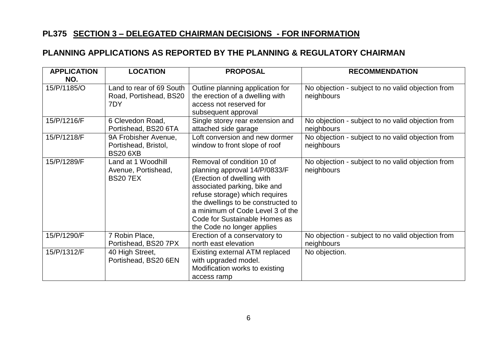# **PL375 SECTION 3 – DELEGATED CHAIRMAN DECISIONS - FOR INFORMATION**

# **PLANNING APPLICATIONS AS REPORTED BY THE PLANNING & REGULATORY CHAIRMAN**

| <b>APPLICATION</b> | <b>LOCATION</b>                                                 | <b>PROPOSAL</b>                                                                                                                                                                                                                                                                                      | <b>RECOMMENDATION</b>                                           |
|--------------------|-----------------------------------------------------------------|------------------------------------------------------------------------------------------------------------------------------------------------------------------------------------------------------------------------------------------------------------------------------------------------------|-----------------------------------------------------------------|
| NO.                |                                                                 |                                                                                                                                                                                                                                                                                                      |                                                                 |
| 15/P/1185/O        | Land to rear of 69 South<br>Road, Portishead, BS20<br>7DY       | Outline planning application for<br>the erection of a dwelling with<br>access not reserved for<br>subsequent approval                                                                                                                                                                                | No objection - subject to no valid objection from<br>neighbours |
| 15/P/1216/F        | 6 Clevedon Road,<br>Portishead, BS20 6TA                        | Single storey rear extension and<br>attached side garage                                                                                                                                                                                                                                             | No objection - subject to no valid objection from<br>neighbours |
| 15/P/1218/F        | 9A Frobisher Avenue,<br>Portishead, Bristol,<br><b>BS20 6XB</b> | Loft conversion and new dormer<br>window to front slope of roof                                                                                                                                                                                                                                      | No objection - subject to no valid objection from<br>neighbours |
| 15/P/1289/F        | Land at 1 Woodhill<br>Avenue, Portishead,<br><b>BS207EX</b>     | Removal of condition 10 of<br>planning approval 14/P/0833/F<br>(Erection of dwelling with<br>associated parking, bike and<br>refuse storage) which requires<br>the dwellings to be constructed to<br>a minimum of Code Level 3 of the<br>Code for Sustainable Homes as<br>the Code no longer applies | No objection - subject to no valid objection from<br>neighbours |
| 15/P/1290/F        | 7 Robin Place,<br>Portishead, BS20 7PX                          | Erection of a conservatory to<br>north east elevation                                                                                                                                                                                                                                                | No objection - subject to no valid objection from<br>neighbours |
| 15/P/1312/F        | 40 High Street,<br>Portishead, BS20 6EN                         | Existing external ATM replaced<br>with upgraded model.<br>Modification works to existing<br>access ramp                                                                                                                                                                                              | No objection.                                                   |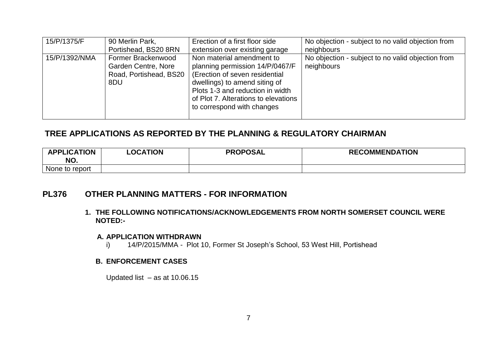| 15/P/1375/F   | 90 Merlin Park,            | Erection of a first floor side       | No objection - subject to no valid objection from |
|---------------|----------------------------|--------------------------------------|---------------------------------------------------|
|               | Portishead, BS20 8RN       | extension over existing garage       | neighbours                                        |
| 15/P/1392/NMA | Former Brackenwood         | Non material amendment to            | No objection - subject to no valid objection from |
|               | <b>Garden Centre, Nore</b> | planning permission 14/P/0467/F      | neighbours                                        |
|               | Road, Portishead, BS20     | (Erection of seven residential       |                                                   |
|               | 8DU                        | dwellings) to amend siting of        |                                                   |
|               |                            | Plots 1-3 and reduction in width     |                                                   |
|               |                            | of Plot 7. Alterations to elevations |                                                   |
|               |                            | to correspond with changes           |                                                   |
|               |                            |                                      |                                                   |

# **TREE APPLICATIONS AS REPORTED BY THE PLANNING & REGULATORY CHAIRMAN**

| <b>APPLICATION</b><br>NO. | <b>LOCATION</b> | <b>PROPOSAL</b> | <b>RECOMMENDATION</b> |
|---------------------------|-----------------|-----------------|-----------------------|
| None to report            |                 |                 |                       |

## **PL376 OTHER PLANNING MATTERS - FOR INFORMATION**

**1. THE FOLLOWING NOTIFICATIONS/ACKNOWLEDGEMENTS FROM NORTH SOMERSET COUNCIL WERE NOTED:-**

#### **A. APPLICATION WITHDRAWN**

i) 14/P/2015/MMA - Plot 10, Former St Joseph's School, 53 West Hill, Portishead

### **B. ENFORCEMENT CASES**

Updated list – as at 10.06.15